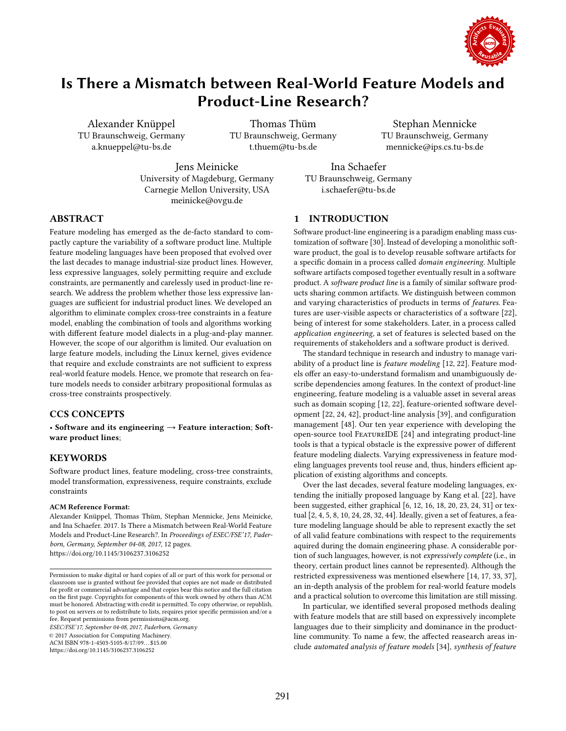

Alexander Knüppel TU Braunschweig, Germany a.knueppel@tu-bs.de

Thomas Thüm TU Braunschweig, Germany t.thuem@tu-bs.de

Stephan Mennicke TU Braunschweig, Germany mennicke@ips.cs.tu-bs.de

Jens Meinicke University of Magdeburg, Germany Carnegie Mellon University, USA meinicke@ovgu.de

Ina Schaefer TU Braunschweig, Germany i.schaefer@tu-bs.de

# ABSTRACT

Feature modeling has emerged as the de-facto standard to compactly capture the variability of a software product line. Multiple feature modeling languages have been proposed that evolved over the last decades to manage industrial-size product lines. However, less expressive languages, solely permitting require and exclude constraints, are permanently and carelessly used in product-line research. We address the problem whether those less expressive languages are sufficient for industrial product lines. We developed an algorithm to eliminate complex cross-tree constraints in a feature model, enabling the combination of tools and algorithms working with diferent feature model dialects in a plug-and-play manner. However, the scope of our algorithm is limited. Our evaluation on large feature models, including the Linux kernel, gives evidence that require and exclude constraints are not sufficient to express real-world feature models. Hence, we promote that research on feature models needs to consider arbitrary propositional formulas as cross-tree constraints prospectively.

## CCS CONCEPTS

• Software and its engineering  $\rightarrow$  Feature interaction; Software product lines;

## **KEYWORDS**

Software product lines, feature modeling, cross-tree constraints, model transformation, expressiveness, require constraints, exclude constraints

#### ACM Reference Format:

Alexander Knüppel, Thomas Thüm, Stephan Mennicke, Jens Meinicke, and Ina Schaefer. 2017. Is There a Mismatch between Real-World Feature Models and Product-Line Research?. In Proceedings of ESEC/FSE'17, Paderborn, Germany, September 04-08, 2017, [12](#page-11-0) pages.

<https://doi.org/10.1145/3106237.3106252>

ESEC/FSE'17, September 04-08, 2017, Paderborn, Germany

© 2017 Association for Computing Machinery.

ACM ISBN 978-1-4503-5105-8/17/09. . . \$15.00

<https://doi.org/10.1145/3106237.3106252>

### 1 INTRODUCTION

Software product-line engineering is a paradigm enabling mass customization of software [\[30\]](#page-11-1). Instead of developing a monolithic software product, the goal is to develop reusable software artifacts for a specific domain in a process called domain engineering. Multiple software artifacts composed together eventually result in a software product. A software product line is a family of similar software products sharing common artifacts. We distinguish between common and varying characteristics of products in terms of features. Features are user-visible aspects or characteristics of a software [\[22\]](#page-11-2), being of interest for some stakeholders. Later, in a process called application engineering, a set of features is selected based on the requirements of stakeholders and a software product is derived.

The standard technique in research and industry to manage variability of a product line is *feature modeling* [\[12,](#page-11-3) [22\]](#page-11-2). Feature models offer an easy-to-understand formalism and unambiguously describe dependencies among features. In the context of product-line engineering, feature modeling is a valuable asset in several areas such as domain scoping [\[12,](#page-11-3) [22\]](#page-11-2), feature-oriented software development [\[22,](#page-11-2) [24,](#page-11-4) [42\]](#page-11-5), product-line analysis [\[39\]](#page-11-6), and coniguration management [\[48\]](#page-11-7). Our ten year experience with developing the open-source tool FeatureIDE [\[24\]](#page-11-4) and integrating product-line tools is that a typical obstacle is the expressive power of diferent feature modeling dialects. Varying expressiveness in feature modeling languages prevents tool reuse and, thus, hinders efficient application of existing algorithms and concepts.

Over the last decades, several feature modeling languages, extending the initially proposed language by Kang et al. [\[22\]](#page-11-2), have been suggested, either graphical [\[6,](#page-11-8) [12,](#page-11-3) [16,](#page-11-9) [18,](#page-11-10) [20,](#page-11-11) [23,](#page-11-12) [24,](#page-11-4) [31\]](#page-11-13) or textual [\[2,](#page-10-0) [4,](#page-10-1) [5,](#page-10-2) [8,](#page-11-14) [10,](#page-11-15) [24,](#page-11-4) [28,](#page-11-16) [32,](#page-11-17) [44\]](#page-11-18). Ideally, given a set of features, a feature modeling language should be able to represent exactly the set of all valid feature combinations with respect to the requirements aquired during the domain engineering phase. A considerable portion of such languages, however, is not expressively complete (i.e., in theory, certain product lines cannot be represented). Although the restricted expressiveness was mentioned elsewhere [\[14,](#page-11-19) [17,](#page-11-20) [33,](#page-11-21) [37\]](#page-11-22), an in-depth analysis of the problem for real-world feature models and a practical solution to overcome this limitation are still missing.

In particular, we identified several proposed methods dealing with feature models that are still based on expressively incomplete languages due to their simplicity and dominance in the productline community. To name a few, the afected reasearch areas include automated analysis of feature models [\[34\]](#page-11-23), synthesis of feature

Permission to make digital or hard copies of all or part of this work for personal or classroom use is granted without fee provided that copies are not made or distributed for profit or commercial advantage and that copies bear this notice and the full citation on the irst page. Copyrights for components of this work owned by others than ACM must be honored. Abstracting with credit is permitted. To copy otherwise, or republish, to post on servers or to redistribute to lists, requires prior speciic permission and/or a fee. Request permissions from permissions@acm.org.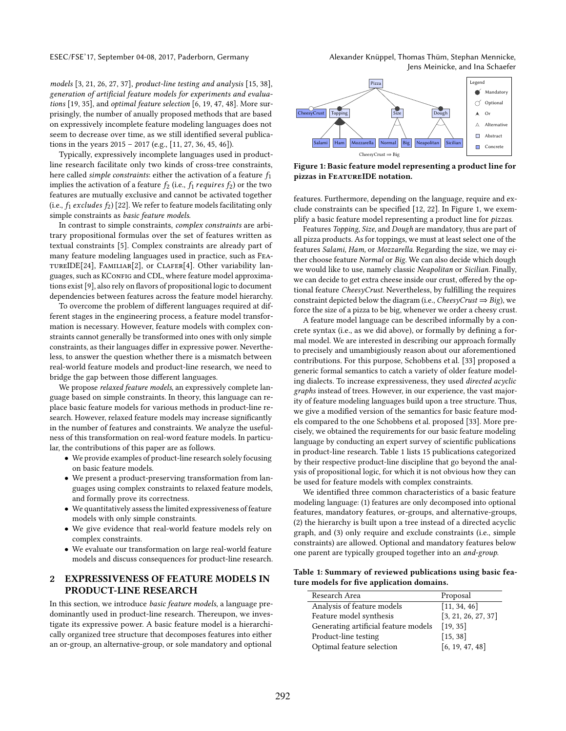ESEC/FSE'17, September 04-08, 2017, Paderborn, Germany Alexander Knüppel, Thomas Thüm, Stephan Mennicke, Jens Meinicke, and Ina Schaefer

models [\[3,](#page-10-3) [21,](#page-11-24) [26,](#page-11-25) [27,](#page-11-26) [37\]](#page-11-22), product-line testing and analysis [\[15,](#page-11-27) [38\]](#page-11-28), generation of artificial feature models for experiments and evaluations [\[19,](#page-11-29) [35\]](#page-11-30), and optimal feature selection [\[6,](#page-11-8) [19,](#page-11-29) [47,](#page-11-31) [48\]](#page-11-7). More surprisingly, the number of anually proposed methods that are based on expressively incomplete feature modeling languages does not seem to decrease over time, as we still identified several publications in the years  $2015 - 2017$  (e.g., [\[11,](#page-11-32) [27,](#page-11-26) [36,](#page-11-33) [45,](#page-11-34) [46\]](#page-11-35)).

Typically, expressively incomplete languages used in productline research facilitate only two kinds of cross-tree constraints, here called *simple constraints*: either the activation of a feature  $f_1$ implies the activation of a feature  $f_2$  (i.e.,  $f_1$  *requires*  $f_2$ ) or the two features are mutually exclusive and cannot be activated together (i.e.,  $f_1$  excludes  $f_2$ ) [\[22\]](#page-11-2). We refer to feature models facilitating only simple constraints as basic feature models.

In contrast to simple constraints, complex constraints are arbitrary propositional formulas over the set of features written as textual constraints [\[5\]](#page-10-2). Complex constraints are already part of many feature modeling languages used in practice, such as FeatureIDE[\[24\]](#page-11-4), Familiar[\[2\]](#page-10-0), or Clafer[\[4\]](#page-10-1). Other variability languages, such as KConFIG and CDL, where feature model approximations exist [\[9\]](#page-11-36), also rely on lavors of propositional logic to document dependencies between features across the feature model hierarchy.

To overcome the problem of diferent languages required at different stages in the engineering process, a feature model transformation is necessary. However, feature models with complex constraints cannot generally be transformed into ones with only simple constraints, as their languages difer in expressive power. Nevertheless, to answer the question whether there is a mismatch between real-world feature models and product-line research, we need to bridge the gap between those diferent languages.

We propose relaxed feature models, an expressively complete language based on simple constraints. In theory, this language can replace basic feature models for various methods in product-line research. However, relaxed feature models may increase significantly in the number of features and constraints. We analyze the usefulness of this transformation on real-word feature models. In particular, the contributions of this paper are as follows.

- We provide examples of product-line research solely focusing on basic feature models.
- We present a product-preserving transformation from languages using complex constraints to relaxed feature models, and formally prove its correctness.
- We quantitatively assess the limited expressiveness of feature models with only simple constraints.
- We give evidence that real-world feature models rely on complex constraints.
- We evaluate our transformation on large real-world feature models and discuss consequences for product-line research.

# 2 EXPRESSIVENESS OF FEATURE MODELS IN PRODUCT-LINE RESEARCH

In this section, we introduce basic feature models, a language predominantly used in product-line research. Thereupon, we investigate its expressive power. A basic feature model is a hierarchically organized tree structure that decomposes features into either an or-group, an alternative-group, or sole mandatory and optional

<span id="page-1-0"></span>

Figure 1: Basic feature model representing a product line for pizzas in FeatureIDE notation.

features. Furthermore, depending on the language, require and ex-clude constraints can be specified [\[12,](#page-11-3) [22\]](#page-11-2). In Figure [1,](#page-1-0) we exemplify a basic feature model representing a product line for pizzas.

Features Topping, Size, and Dough are mandatory, thus are part of all pizza products. As for toppings, we must at least select one of the features Salami, Ham, or Mozzarella. Regarding the size, we may either choose feature Normal or Big. We can also decide which dough we would like to use, namely classic Neapolitan or Sicilian. Finally, we can decide to get extra cheese inside our crust, offered by the optional feature CheesyCrust. Nevertheless, by fulfilling the requires constraint depicted below the diagram (i.e., CheesyCrust  $\Rightarrow$  Big), we force the size of a pizza to be big, whenever we order a cheesy crust.

A feature model language can be described informally by a concrete syntax (i.e., as we did above), or formally by defining a formal model. We are interested in describing our approach formally to precisely and umambigiously reason about our aforementioned contributions. For this purpose, Schobbens et al. [\[33\]](#page-11-21) proposed a generic formal semantics to catch a variety of older feature modeling dialects. To increase expressiveness, they used directed acyclic graphs instead of trees. However, in our experience, the vast majority of feature modeling languages build upon a tree structure. Thus, we give a modified version of the semantics for basic feature models compared to the one Schobbens et al. proposed [\[33\]](#page-11-21). More precisely, we obtained the requirements for our basic feature modeling language by conducting an expert survey of scientific publications in product-line research. Table [1](#page-1-1) lists 15 publications categorized by their respective product-line discipline that go beyond the analysis of propositional logic, for which it is not obvious how they can be used for feature models with complex constraints.

We identified three common characteristics of a basic feature modeling language: (1) features are only decomposed into optional features, mandatory features, or-groups, and alternative-groups, (2) the hierarchy is built upon a tree instead of a directed acyclic graph, and (3) only require and exclude constraints (i.e., simple constraints) are allowed. Optional and mandatory features below one parent are typically grouped together into an and-group.

<span id="page-1-1"></span>Table 1: Summary of reviewed publications using basic feature models for five application domains.

| Research Area                        | Proposal            |
|--------------------------------------|---------------------|
| Analysis of feature models           | [11, 34, 46]        |
| Feature model synthesis              | [3, 21, 26, 27, 37] |
| Generating artificial feature models | [19, 35]            |
| Product-line testing                 | [15, 38]            |
| Optimal feature selection            | [6, 19, 47, 48]     |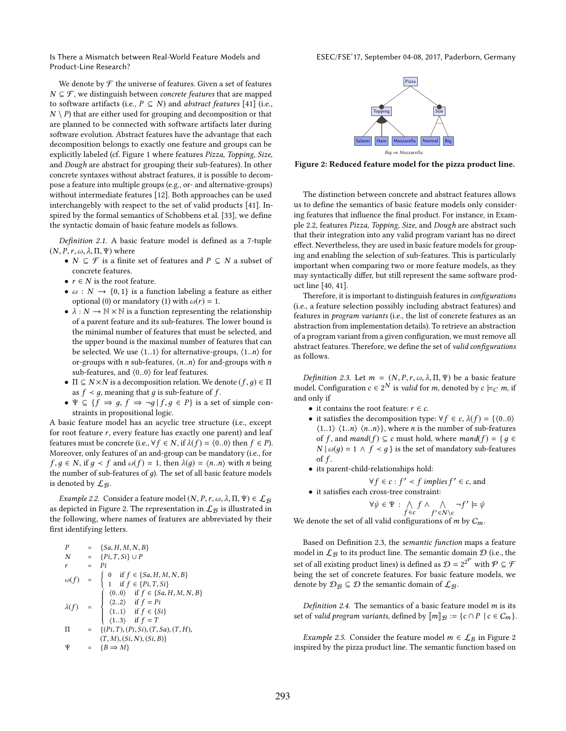<span id="page-2-0"></span>ESEC/FSE'17, September 04-08, 2017, Paderborn, Germany

We denote by  $\mathcal F$  the universe of features. Given a set of features  $N \subseteq \mathcal{F}$ , we distinguish between *concrete features* that are mapped to software artifacts (i.e.,  $P \subseteq N$ ) and *abstract features* [\[41\]](#page-11-37) (i.e.,  $N \setminus P$ ) that are either used for grouping and decomposition or that are planned to be connected with software artifacts later during software evolution. Abstract features have the advantage that each decomposition belongs to exactly one feature and groups can be explicitly labeled (cf. Figure [1](#page-1-0) where features Pizza, Topping, Size, and Dough are abstract for grouping their sub-features). In other concrete syntaxes without abstract features, it is possible to decompose a feature into multiple groups (e.g., or- and alternative-groups) without intermediate features [\[12\]](#page-11-3). Both approaches can be used interchangebly with respect to the set of valid products [\[41\]](#page-11-37). In-spired by the formal semantics of Schobbens et al. [\[33\]](#page-11-21), we define the syntactic domain of basic feature models as follows.

<span id="page-2-5"></span>Definition 2.1. A basic feature model is defined as a 7-tuple  $(N, P, r, \omega, \lambda, \Pi, \Psi)$  where

- $N \subseteq \mathcal{F}$  is a finite set of features and  $P \subseteq N$  a subset of concrete features.
- $r \in N$  is the root feature.
- $\omega : N \to \{0, 1\}$  is a function labeling a feature as either optional (0) or mandatory (1) with  $\omega(r) = 1$ .
- $\lambda : N \to \mathbb{N} \times \mathbb{N}$  is a function representing the relationship of a parent feature and its sub-features. The lower bound is the minimal number of features that must be selected, and the upper bound is the maximal number of features that can be selected. We use  $(1..1)$  for alternative-groups,  $(1..n)$  for or-groups with *n* sub-features,  $\langle n..n \rangle$  for and-groups with *n* sub-features, and ⟨0..0⟩ for leaf features.
- $\Pi \subseteq N \times N$  is a decomposition relation. We denote  $(f, g) \in \Pi$ as  $f \prec g,$  meaning that  $g$  is sub-feature of  $f.$
- $\Psi \subseteq \{f \Rightarrow g, f \Rightarrow \neg g | f, g \in P\}$  is a set of simple constraints in propositional logic.

A basic feature model has an acyclic tree structure (i.e., except for root feature r, every feature has exactly one parent) and leaf features must be concrete (i.e.,  $\forall f \in N$ , if  $\lambda(f) = \langle 0..0 \rangle$  then  $f \in P$ ). Moreover, only features of an and-group can be mandatory (i.e., for  $f, g \in N$ , if  $g < f$  and  $\omega(f) = 1$ , then  $\lambda(g) = \langle n..n \rangle$  with n being the number of sub-features of  $g$ ). The set of all basic feature models is denoted by  $\mathcal{L}_{\mathcal{B}}$ .

<span id="page-2-1"></span>Example 2.2. Consider a feature model  $(N, P, r, \omega, \lambda, \Pi, \Psi) \in \mathcal{L}_{\mathcal{B}}$ as depicted in Figure [2.](#page-2-0) The representation in  $\mathcal{L}_\mathcal{B}$  is illustrated in the following, where names of features are abbreviated by their first identifying letters.

$$
P = \{Sa, H, M, N, B\}
$$
  
\n
$$
N = \{Pi, T, Si\} \cup P
$$
  
\n
$$
r = Pi
$$
  
\n
$$
\omega(f) = \begin{cases}\n0 & \text{if } f \in \{Sa, H, M, N, B\} \\
1 & \text{if } f \in \{Pi, T, Si\} \\
(0.0) & \text{if } f \in \{Sa, H, M, N, B\} \\
(2.2) & \text{if } f = Pi \\
(1.1) & \text{if } f \in \{Si\} \\
(1.3) & \text{if } f = T\n\end{cases}
$$
  
\n
$$
\Pi = \{(Pi, T), (Pi, Si), (T, Sa), (T, H), \\
(T, M), (Si, N), (Si, B)\}
$$
  
\n
$$
\Psi = \{B \Rightarrow M\}
$$



Figure 2: Reduced feature model for the pizza product line.

The distinction between concrete and abstract features allows us to define the semantics of basic feature models only considering features that influence the final product. For instance, in Example [2.2,](#page-2-1) features Pizza, Topping, Size, and Dough are abstract such that their integration into any valid program variant has no direct efect. Nevertheless, they are used in basic feature models for grouping and enabling the selection of sub-features. This is particularly important when comparing two or more feature models, as they may syntactically difer, but still represent the same software product line [\[40,](#page-11-38) [41\]](#page-11-37).

Therefore, it is important to distinguish features in configurations (i.e., a feature selection possibly including abstract features) and features in program variants (i.e., the list of concrete features as an abstraction from implementation details). To retrieve an abstraction of a program variant from a given configuration, we must remove all abstract features. Therefore, we define the set of valid configurations as follows.

<span id="page-2-2"></span>Definition 2.3. Let  $m = (N, P, r, \omega, \lambda, \Pi, \Psi)$  be a basic feature model. Configuration  $c \in 2^N$  is *valid* for *m*, denoted by  $c \models_C m$ , if and only if

- it contains the root feature:  $r \in c$ .
- it satisfies the decomposition type:  $\forall f \in c$ ,  $\lambda(f) = \{ \langle 0..0 \rangle \}$  $\langle 1..1 \rangle$   $\langle 1..n \rangle$   $\langle n..n \rangle$ , where *n* is the number of sub-features of f, and mand(f)  $\subseteq$  c must hold, where mand(f) = { $q \in$  $N | \omega(q) = 1 \wedge f \prec q$  } is the set of mandatory sub-features of  $f$ .
- its parent-child-relationships hold:

$$
\forall f \in c : f' \prec f \text{ implies } f' \in c, \text{ and}
$$

 $\bullet\,$  it satisfies each cross-tree constraint:

$$
\forall \psi \in \Psi : \bigwedge_{f \in c} f \land \bigwedge_{f' \in N \setminus c} \neg f' \models \psi
$$

We denote the set of all valid configurations of  $m$  by  $C_m$ .

Based on Definition [2.3,](#page-2-2) the semantic function maps a feature model in  $\mathcal{L}_{\mathcal{B}}$  to its product line. The semantic domain  $\mathcal{D}$  (i.e., the set of all existing product lines) is defined as  $\mathcal{D}=2^{2^{\mathcal{P}}}$  with  $\mathcal{P}\subseteq\mathcal{F}$ being the set of concrete features. For basic feature models, we denote by  $\mathcal{D}_{\mathcal{B}} \subseteq \mathcal{D}$  the semantic domain of  $\mathcal{L}_{\mathcal{B}}$ .

<span id="page-2-3"></span>Definition 2.4. The semantics of a basic feature model  $m$  is its set of *valid program variants*, defined by  $\llbracket m \rrbracket_{\mathcal{B}} := \{c \cap P \mid c \in C_m\}.$ 

<span id="page-2-4"></span>*Example [2](#page-2-0).5.* Consider the feature model  $m \in \mathcal{L}_B$  in Figure 2 inspired by the pizza product line. The semantic function based on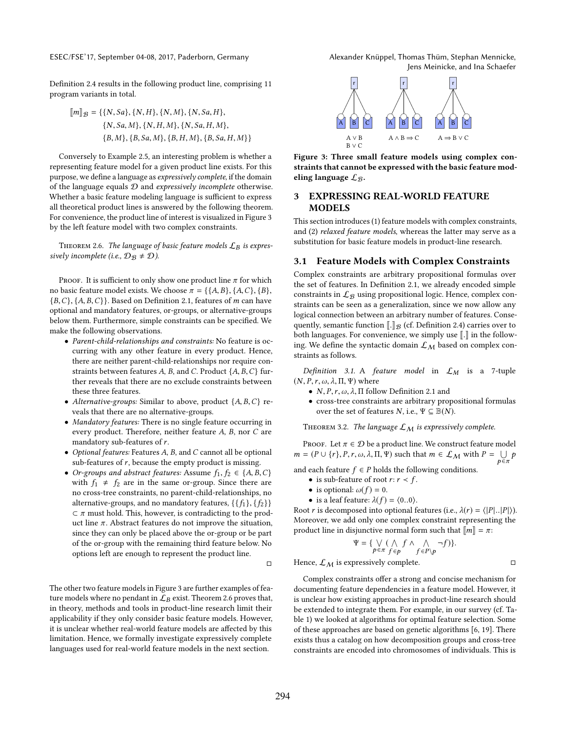Definition [2.4](#page-2-3) results in the following product line, comprising 11 program variants in total.

$$
\[\![m]\!]_{\mathcal{B}} = \{\{N, Sa\}, \{N, H\}, \{N, M\}, \{N, Sa, H\},\
$$

$$
\{N, Sa, M\}, \{N, H, M\}, \{N, Sa, H, M\},\
$$

$$
\{B, M\}, \{B, Sa, M\}, \{B, H, M\}, \{B, Sa, H, M\}\}\
$$

Conversely to Example [2.5,](#page-2-4) an interesting problem is whether a representing feature model for a given product line exists. For this purpose, we define a language as expressively complete, if the domain of the language equals  $D$  and expressively incomplete otherwise. Whether a basic feature modeling language is sufficient to express all theoretical product lines is answered by the following theorem. For convenience, the product line of interest is visualized in Figure [3](#page-3-0) by the left feature model with two complex constraints.

<span id="page-3-1"></span>THEOREM 2.6. The language of basic feature models  $\mathcal{L}_B$  is expressively incomplete (i.e.,  $\mathcal{D}_{\mathcal{B}} \neq \mathcal{D}$ ).

PROOF. It is sufficient to only show one product line  $\pi$  for which no basic feature model exists. We choose  $\pi = \{\{A, B\}, \{A, C\}, \{B\},\}$  ${B, C}, {A, B, C}$ . Based on Definition [2.1,](#page-2-5) features of *m* can have optional and mandatory features, or-groups, or alternative-groups below them. Furthermore, simple constraints can be specified. We make the following observations.

- Parent-child-relationships and constraints: No feature is occurring with any other feature in every product. Hence, there are neither parent-child-relationships nor require constraints between features A, B, and C. Product  $\{A, B, C\}$  further reveals that there are no exclude constraints between these three features.
- Alternative-groups: Similar to above, product  $\{A, B, C\}$  reveals that there are no alternative-groups.
- Mandatory features: There is no single feature occurring in every product. Therefore, neither feature A, B, nor C are mandatory sub-features of r.
- Optional features: Features A, B, and C cannot all be optional sub-features of  $r$ , because the empty product is missing.
- Or-groups and abstract features: Assume  $f_1, f_2 \in \{A, B, C\}$ with  $f_1 \neq f_2$  are in the same or-group. Since there are no cross-tree constraints, no parent-child-relationships, no alternative-groups, and no mandatory features,  $\{\{f_1\}, \{f_2\}\}$  $\subset \pi$  must hold. This, however, is contradicting to the product line  $\pi$ . Abstract features do not improve the situation, since they can only be placed above the or-group or be part of the or-group with the remaining third feature below. No options left are enough to represent the product line.

 $\Box$ 

The other two feature models in Figure [3](#page-3-0) are further examples of feature models where no pendant in  $\mathcal{L}_B$  exist. Theorem [2.6](#page-3-1) proves that, in theory, methods and tools in product-line research limit their applicability if they only consider basic feature models. However, it is unclear whether real-world feature models are afected by this limitation. Hence, we formally investigate expressively complete languages used for real-world feature models in the next section.



<span id="page-3-0"></span>

Figure 3: Three small feature models using complex constraints that cannot be expressed with the basic feature modeling language  $\mathcal{L}_{\mathcal{B}}$ .

# 3 EXPRESSING REAL-WORLD FEATURE MODELS

This section introduces (1) feature models with complex constraints, and (2) relaxed feature models, whereas the latter may serve as a substitution for basic feature models in product-line research.

## 3.1 Feature Models with Complex Constraints

Complex constraints are arbitrary propositional formulas over the set of features. In Definition [2.1,](#page-2-5) we already encoded simple constraints in  $\mathcal{L}_{\mathcal{B}}$  using propositional logic. Hence, complex constraints can be seen as a generalization, since we now allow any logical connection between an arbitrary number of features. Consequently, semantic function  $\llbracket . \rrbracket_{\mathcal{B}}$  (cf. Definition [2.4\)](#page-2-3) carries over to both languages. For convenience, we simply use  $\llbracket . \rrbracket$  in the following. We define the syntactic domain  $\mathcal{L}_M$  based on complex constraints as follows.

Definition 3.1. A feature model in  $\mathcal{L}_M$  is a 7-tuple  $(N, P, r, \omega, \lambda, \Pi, \Psi)$  where

- $N, P, r, \omega, \lambda, \Pi$  follow Definition [2.1](#page-2-5) and
- cross-tree constraints are arbitrary propositional formulas over the set of features N, i.e.,  $\Psi \subseteq \mathbb{B}(N)$ .

THEOREM 3.2. The language  $\mathcal{L}_M$  is expressively complete.

PROOF. Let  $\pi \in \mathcal{D}$  be a product line. We construct feature model  $m = (P \cup \{r\}, P, r, \omega, \lambda, \Pi, \Psi)$  such that  $m \in \mathcal{L}_M$  with  $P = \bigcup$  $\bigcup_{p \in \pi} p$ 

and each feature  $f \in P$  holds the following conditions.

- is sub-feature of root  $r: r \prec f$ .
- is optional:  $\omega(f) = 0$ .
- is a leaf feature:  $\lambda(f) = \langle 0..0 \rangle$ .

Root r is decomposed into optional features (i.e.,  $\lambda(r) = \langle |P|, |P| \rangle$ ). Moreover, we add only one complex constraint representing the product line in disjunctive normal form such that  $\llbracket m \rrbracket = \pi$ :

$$
\Psi = \{ \bigvee_{p \in \pi} (\bigwedge_{f \in p} f \wedge \bigwedge_{f \in P \setminus p} \neg f) \}.
$$

Hence,  $\mathcal{L}_M$  is expressively complete.

Complex constraints offer a strong and concise mechanism for documenting feature dependencies in a feature model. However, it is unclear how existing approaches in product-line research should be extended to integrate them. For example, in our survey (cf. Table [1\)](#page-1-1) we looked at algorithms for optimal feature selection. Some of these approaches are based on genetic algorithms [\[6,](#page-11-8) [19\]](#page-11-29). There exists thus a catalog on how decomposition groups and cross-tree constraints are encoded into chromosomes of individuals. This is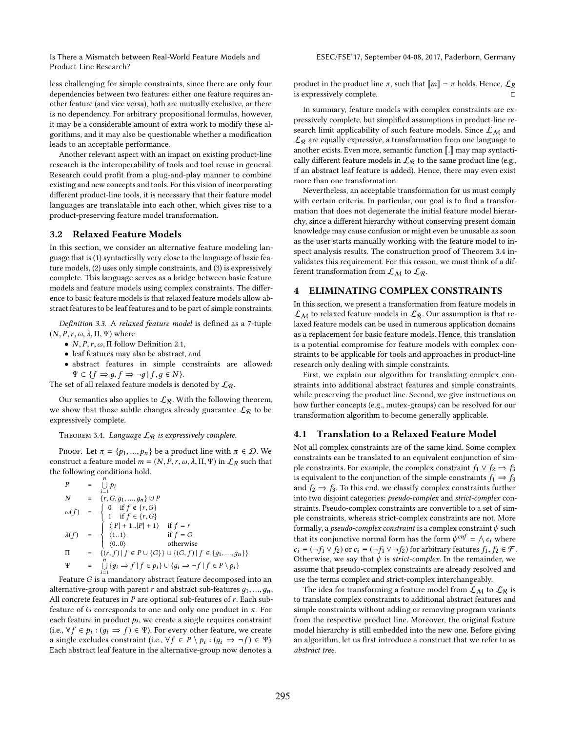less challenging for simple constraints, since there are only four dependencies between two features: either one feature requires another feature (and vice versa), both are mutually exclusive, or there is no dependency. For arbitrary propositional formulas, however, it may be a considerable amount of extra work to modify these algorithms, and it may also be questionable whether a modification leads to an acceptable performance.

Another relevant aspect with an impact on existing product-line research is the interoperability of tools and tool reuse in general. Research could profit from a plug-and-play manner to combine existing and new concepts and tools. For this vision of incorporating diferent product-line tools, it is necessary that their feature model languages are translatable into each other, which gives rise to a product-preserving feature model transformation.

#### 3.2 Relaxed Feature Models

In this section, we consider an alternative feature modeling language that is (1) syntactically very close to the language of basic feature models, (2) uses only simple constraints, and (3) is expressively complete. This language serves as a bridge between basic feature models and feature models using complex constraints. The diference to basic feature models is that relaxed feature models allow abstract features to be leaf features and to be part of simple constraints.

Definition 3.3. A relaxed feature model is defined as a 7-tuple  $(N, P, r, \omega, \lambda, \Pi, \Psi)$  where

- $N, P, r, \omega, \Pi$  follow Definition [2.1,](#page-2-5)
- leaf features may also be abstract, and
- abstract features in simple constraints are allowed:  $\Psi \subset \{f \Rightarrow g, f \Rightarrow \neg g \mid f, g \in N\}.$

The set of all relaxed feature models is denoted by  $\mathcal{L}_{\mathcal{R}}$ .

Our semantics also applies to  $\mathcal{L}_{\mathcal{R}}.$  With the following theorem, we show that those subtle changes already guarantee  $\mathcal{L}_{\mathcal{R}}$  to be expressively complete.

<span id="page-4-0"></span>THEOREM 3.4. Language  $\mathcal{L}_{\mathcal{R}}$  is expressively complete.

PROOF. Let  $\pi = \{p_1, ..., p_n\}$  be a product line with  $\pi \in \mathcal{D}$ . We construct a feature model  $m = (N, P, r, \omega, \lambda, \Pi, \Psi)$  in  $\mathcal{L}_R$  such that the following conditions hold.

$$
P = \bigcup_{i=1}^{n} p_i
$$
  
\n
$$
N = \{r, G, g_1, ..., g_n\} \cup P
$$
  
\n
$$
\omega(f) = \begin{cases}\n0 & \text{if } f \notin \{r, G\} \\
1 & \text{if } f \in \{r, G\} \\
(|P| + 1, |P| + 1) & \text{if } f = r\n\end{cases}
$$
  
\n
$$
\lambda(f) = \begin{cases}\n\langle |P| + 1, |P| + 1 \rangle & \text{if } f = r \\
\langle 1, 1 \rangle & \text{if } f = G \\
\langle 0, 0 \rangle & \text{otherwise}\n\end{cases}
$$
  
\n
$$
\Pi = \{ (r, f) | f \in P \cup \{G\} \} \cup \{ (G, f) | f \in \{g_1, ..., g_n\} \}
$$
  
\n
$$
\Psi = \bigcup_{i=1}^{n} \{ g_i \Rightarrow f | f \in p_i \} \cup \{ g_i \Rightarrow \neg f | f \in P \setminus p_i \}
$$

Feature G is a mandatory abstract feature decomposed into an alternative-group with parent r and abstract sub-features  $q_1, ..., q_n$ . All concrete features in  $P$  are optional sub-features of  $r$ . Each subfeature of G corresponds to one and only one product in  $\pi$ . For each feature in product  $p_i$ , we create a single requires constraint (i.e.,  $\forall f \in p_i : (g_i \Rightarrow f) \in \Psi$ ). For every other feature, we create a single excludes constraint (i.e.,  $\forall f \in P \setminus p_i : (g_i \Rightarrow \neg f) \in \Psi$ ). Each abstract leaf feature in the alternative-group now denotes a

product in the product line  $\pi$ , such that  $\llbracket m \rrbracket = \pi$  holds. Hence,  $\mathcal{L}_R$ is expressively complete.

In summary, feature models with complex constraints are expressively complete, but simplified assumptions in product-line research limit applicability of such feature models. Since  $\mathcal{L}_M$  and  $\mathcal{L}_{\mathcal{R}}$  are equally expressive, a transformation from one language to another exists. Even more, semantic function  $\llbracket . \rrbracket$  may map syntactically different feature models in  $\mathcal{L}_{\mathcal{R}}$  to the same product line (e.g., if an abstract leaf feature is added). Hence, there may even exist more than one transformation.

Nevertheless, an acceptable transformation for us must comply with certain criteria. In particular, our goal is to find a transformation that does not degenerate the initial feature model hierarchy, since a diferent hierarchy without conserving present domain knowledge may cause confusion or might even be unusable as soon as the user starts manually working with the feature model to inspect analysis results. The construction proof of Theorem [3.4](#page-4-0) invalidates this requirement. For this reason, we must think of a different transformation from  $\mathcal{L}_M$  to  $\mathcal{L}_{\mathcal{R}}$ .

# <span id="page-4-2"></span>4 ELIMINATING COMPLEX CONSTRAINTS

In this section, we present a transformation from feature models in  $\mathcal{L}_{\mathcal{M}}$  to relaxed feature models in  $\mathcal{L}_{\mathcal{R}}$ . Our assumption is that relaxed feature models can be used in numerous application domains as a replacement for basic feature models. Hence, this translation is a potential compromise for feature models with complex constraints to be applicable for tools and approaches in product-line research only dealing with simple constraints.

First, we explain our algorithm for translating complex constraints into additional abstract features and simple constraints, while preserving the product line. Second, we give instructions on how further concepts (e.g., mutex-groups) can be resolved for our transformation algorithm to become generally applicable.

#### <span id="page-4-1"></span>4.1 Translation to a Relaxed Feature Model

Not all complex constraints are of the same kind. Some complex constraints can be translated to an equivalent conjunction of simple constraints. For example, the complex constraint  $f_1 \vee f_2 \Rightarrow f_3$ is equivalent to the conjunction of the simple constraints  $f_1 \Rightarrow f_3$ and  $f_2 \Rightarrow f_3$ . To this end, we classify complex constraints further into two disjoint categories: pseudo-complex and strict-complex constraints. Pseudo-complex constraints are convertible to a set of simple constraints, whereas strict-complex constraints are not. More formally, a *pseudo-complex constraint* is a complex constraint  $\psi$  such that its conjunctive normal form has the form  $\psi^{cnf} = \bigwedge c_i$  where  $c_i \equiv (\neg f_1 \lor f_2)$  or  $c_i \equiv (\neg f_1 \lor \neg f_2)$  for arbitrary features  $f_1, f_2 \in \mathcal{F}$ . Otherwise, we say that  $\psi$  is *strict-complex*. In the remainder, we assume that pseudo-complex constraints are already resolved and use the terms complex and strict-complex interchangeably.

The idea for transforming a feature model from  $\mathcal{L}_M$  to  $\mathcal{L}_R$  is to translate complex constraints to additional abstract features and simple constraints without adding or removing program variants from the respective product line. Moreover, the original feature model hierarchy is still embedded into the new one. Before giving an algorithm, let us first introduce a construct that we refer to as abstract tree.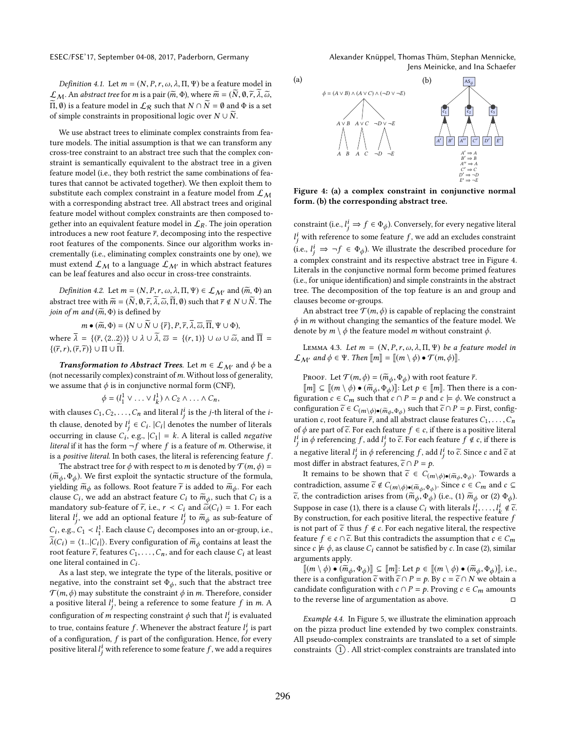Jens Meinicke, and Ina Schaefer

Definition 4.1. Let  $m = (N, P, r, \omega, \lambda, \Pi, \Psi)$  be a feature model in  $\mathcal{L}_M$ . An abstract tree for *m* is a pair ( $\widetilde{m}$ ,  $\Phi$ ), where  $\widetilde{m} = (\widetilde{N}, \emptyset, \widetilde{r}, \lambda, \widetilde{\omega},\widetilde{\theta})$  $\widetilde{\Pi}$ ,  $\emptyset$ ) is a feature model in  $\mathcal{L}_{\mathcal{R}}$  such that  $N \cap \widetilde{N} = \emptyset$  and  $\Phi$  is a set of simple constraints in propositional logic over  $N \cup \overline{N}$ .

We use abstract trees to eliminate complex constraints from feature models. The initial assumption is that we can transform any cross-tree constraint to an abstract tree such that the complex constraint is semantically equivalent to the abstract tree in a given feature model (i.e., they both restrict the same combinations of features that cannot be activated together). We then exploit them to substitute each complex constraint in a feature model from  $\mathcal{L}_{\mathcal{M}}$ with a corresponding abstract tree. All abstract trees and original feature model without complex constraints are then composed together into an equivalent feature model in  $\mathcal{L}_R$ . The join operation introduces a new root feature  $\bar{r}$ , decomposing into the respective root features of the components. Since our algorithm works incrementally (i.e., eliminating complex constraints one by one), we must extend  $\mathcal{L}_M$  to a language  $\mathcal{L}_{M'}$  in which abstract features can be leaf features and also occur in cross-tree constraints.

*Definition 4.2.* Let  $m = (N, P, r, \omega, \lambda, \Pi, \Psi) \in \mathcal{L}_{\mathcal{M}'}$  and  $(\tilde{m}, \Phi)$  an abstract tree with  $\widetilde{m} = (N, \emptyset, \widetilde{r}, \lambda, \widetilde{\omega}, \Pi, \emptyset)$  such that  $\overline{r} \notin N \cup N$ . The join of m and  $(\widetilde{m}, \Phi)$  is defined by

 $m \bullet (\widetilde{m}, \Phi) = (N \cup \widetilde{N} \cup {\{\overline{r}\}, P, \overline{r}, \overline{\lambda}, \overline{\omega}, \overline{\Pi}, \Psi \cup \Phi}),$ where  $\overline{\lambda} = \{(\overline{r}, \langle 2..2 \rangle) \} \cup \lambda \cup \overline{\lambda}, \overline{\omega} = \{(r, 1)\} \cup \omega \cup \overline{\omega}, \text{ and } \overline{\Pi} =$  $\{(\overline{r},r),(\overline{r},\overline{r})\} \cup \Pi \cup \overline{\Pi}.$ 

**Transformation to Abstract Trees.** Let  $m \in \mathcal{L}_{\mathcal{M}'}$  and  $\phi$  be a (not necessarily complex) constraint of  $m$ . Without loss of generality, we assume that  $\phi$  is in conjunctive normal form (CNF),

$$
\phi = (l_1^1 \vee \ldots \vee l_k^1) \wedge C_2 \wedge \ldots \wedge C_n,
$$

with clauses  $C_1, C_2, \ldots, C_n$  and literal  $l_j^i$  is the *j*-th literal of the *i*th clause, denoted by  $l_j^i \in C_i$ .  $|C_i|$  denotes the number of literals occurring in clause  $C_i$ , e.g.,  $|C_1| = k$ . A literal is called *negative literal* if it has the form  $\neg f$  where f is a feature of m. Otherwise, it is a positive literal. In both cases, the literal is referencing feature  $f$ .

The abstract tree for  $\phi$  with respect to *m* is denoted by  $\mathcal{T}(m,\phi)$  =  $(\widetilde{m}_{\phi}, \Phi_{\phi})$ . We first exploit the syntactic structure of the formula, yielding  $\widetilde{m}_{\phi}$  as follows. Root feature  $\widetilde{r}$  is added to  $\widetilde{m}_{\phi}$ . For each clause  $C_i$ , we add an abstract feature  $C_i$  to  $\widetilde{m}_{\phi}$ , such that  $C_i$  is a mandatory sub-feature of  $\widetilde{r}$ , i.e.,  $r < C_i$  and  $\widetilde{\omega}(C_i) = 1$ . For each literal  $l_j^i$ , we add an optional feature  $l_j^i$  to  $\widetilde{m}_{\phi}$  as sub-feature of  $C_i$ , e.g.,  $C_1 \lt l_1^1$ . Each clause  $C_i$  decomposes into an or-group, i.e.,  $\widetilde{\lambda}(C_i) = \langle 1..|C_i| \rangle$ . Every configuration of  $\widetilde{m}_{\phi}$  contains at least the root feature  $\tilde{r}$ , features  $C_1, \ldots, C_n$ , and for each clause  $C_i$  at least one literal contained in  $C_i$ .

As a last step, we integrate the type of the literals, positive or negative, into the constraint set  $\Phi_{\phi}$ , such that the abstract tree  $\mathcal{T}(m,\phi)$  may substitute the constraint  $\phi$  in m. Therefore, consider a positive literal  $l_j^i$ , being a reference to some feature  $f$  in  $m$ . A configuration of  $m$  respecting constraint  $\phi$  such that  $l^i_j$  is evaluated to true, contains feature  $f$ . Whenever the abstract feature  $l_j^i$  is part of a configuration,  $f$  is part of the configuration. Hence, for every positive literal  $l_j^i$  with reference to some feature  $f$  , we add a requires

<span id="page-5-0"></span>

Figure 4: (a) a complex constraint in conjunctive normal form. (b) the corresponding abstract tree.

constraint (i.e.,  $l_j^i \Rightarrow f \in \Phi_{\phi}$ ). Conversely, for every negative literal  $l_j^i$  with reference to some feature  $f,$  we add an excludes constraint (i.e.,  $l_j^i \Rightarrow \neg f \in \Phi_{\phi}$ ). We illustrate the described procedure for a complex constraint and its respective abstract tree in Figure [4.](#page-5-0) Literals in the conjunctive normal form become primed features (i.e., for unique identiication) and simple constraints in the abstract tree. The decomposition of the top feature is an and group and clauses become or-groups.

An abstract tree  $\mathcal{T}(m,\phi)$  is capable of replacing the constraint  $\phi$  in *m* without changing the semantics of the feature model. We denote by  $m \setminus \phi$  the feature model m without constraint  $\phi$ .

<span id="page-5-1"></span>LEMMA 4.3. Let  $m = (N, P, r, \omega, \lambda, \Pi, \Psi)$  be a feature model in  $\mathcal{L}_{\mathcal{M}'}$  and  $\phi \in \Psi$ . Then  $\llbracket m \rrbracket = \llbracket (m \setminus \phi) \bullet \mathcal{T}(m, \phi) \rrbracket$ .

PROOF. Let  $\mathcal{T}(m,\phi) = (\widetilde{m}_{\phi}, \Phi_{\phi})$  with root feature  $\overline{r}$ .

 $\llbracket m \rrbracket \subseteq \llbracket (m \setminus \phi) \bullet (\widetilde{m}_{\phi}, \Phi_{\phi}) \rrbracket$ : Let  $p \in \llbracket m \rrbracket$ . Then there is a configuration  $c \in C_m$  such that  $c \cap P = p$  and  $c \models \phi$ . We construct a configuration  $\widetilde{c} \in C_{(m\setminus\phi)\bullet(\widetilde{m}_{\phi},\Phi_{\phi})}$  such that  $\widetilde{c} \cap P = p$ . First, configuration uration c, root feature  $\overline{r}$ , and all abstract clause features  $C_1, \ldots, C_n$ of  $\phi$  are part of  $\tilde{c}$ . For each feature  $f \in c$ , if there is a positive literal  $l_j^i$  in  $\phi$  referencing  $f,$  add  $l_j^i$  to  $\widetilde{c}.$  For each feature  $f \notin c,$  if there is a negative literal  $l_j^i$  in  $\phi$  referencing  $f$ , add  $l_j^i$  to  $\tilde{c}$ . Since c and  $\tilde{c}$  at most differ in abstract features,  $\tilde{c} \cap P = p$ .

It remains to be shown that  $\tilde{c} \in C_{(m\setminus\phi)\bullet(\tilde{m}_{\phi},\Phi_{\phi})}$ . Towards a contradiction, assume  $\widetilde{c} \notin C_{(m\setminus\phi)\bullet(\widetilde{m}_{\phi},\Phi_{\phi})}$ . Since  $c \in C_m$  and  $c \subseteq$  $\widetilde{e}$ , the contradiction arises from  $(\widetilde{m}_{\phi}, \Phi_{\phi})$  (i.e., (1)  $\widetilde{m}_{\phi}$  or (2)  $\Phi_{\phi}$ ). Suppose in case (1), there is a clause  $C_i$  with literals  $l_1^i, \ldots, l_k^i \notin \tilde{c}$ . By construction, for each positive literal, the respective feature  $f$ is not part of  $\tilde{c}$  thus  $f \notin c$ . For each negative literal, the respective feature *f* ∈ *c* ∩  $\tilde{c}$ . But this contradicts the assumption that *c* ∈  $C_m$ since  $c \not\models \phi$ , as clause  $C_i$  cannot be satisfied by c. In case (2), similar arguments apply.

 $\llbracket (m \setminus \phi) \bullet (\widetilde{m}_{\phi}, \Phi_{\phi}) \rrbracket \subseteq \llbracket m \rrbracket$ : Let  $p \in \llbracket (m \setminus \phi) \bullet (\widetilde{m}_{\phi}, \Phi_{\phi}) \rrbracket$ , i.e., there is a configuration  $\tilde{c}$  with  $\tilde{c} \cap P = p$ . By  $c = \tilde{c} \cap N$  we obtain a candidate configuration with  $c \cap P = p$ . Proving  $c \in C_m$  amounts to the reverse line of argumentation as above.

Example 4.4. In Figure [5,](#page-6-0) we illustrate the elimination approach on the pizza product line extended by two complex constraints. All pseudo-complex constraints are translated to a set of simple constraints  $(1)$ . All strict-complex constraints are translated into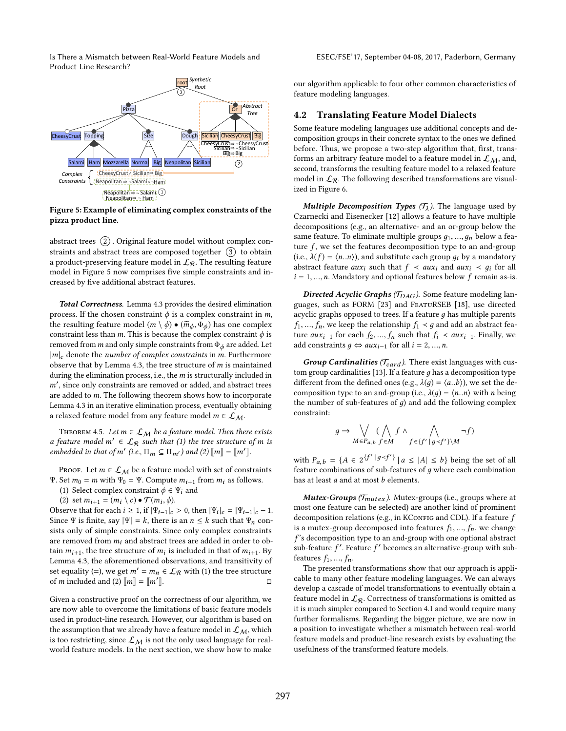<span id="page-6-0"></span>

Figure 5: Example of eliminating complex constraints of the pizza product line.

abstract trees  $(2)$ . Original feature model without complex constraints and abstract trees are composed together  $(3)$  to obtain a product-preserving feature model in  $\mathcal{L}_{\mathcal{R}}$ . The resulting feature model in Figure [5](#page-6-0) now comprises five simple constraints and increased by five additional abstract features.

Total Correctness. Lemma [4.3](#page-5-1) provides the desired elimination process. If the chosen constraint  $\phi$  is a complex constraint in m, the resulting feature model  $(m \setminus \phi) \bullet (\widetilde{m}_{\phi}, \Phi_{\phi})$  has one complex constraint less than m. This is because the complex constraint  $\phi$  is removed from  $m$  and only simple constraints from  $\Phi_{\phi}$  are added. Let  $|m|_c$  denote the number of complex constraints in m. Furthermore observe that by Lemma [4.3,](#page-5-1) the tree structure of  $m$  is maintained during the elimination process, i.e., the  $m$  is structurally included in m′ , since only constraints are removed or added, and abstract trees are added to m. The following theorem shows how to incorporate Lemma [4.3](#page-5-1) in an iterative elimination process, eventually obtaining a relaxed feature model from any feature model  $m \in \mathcal{L}_M$ .

THEOREM 4.5. Let  $m \in \mathcal{L}_{M}$  be a feature model. Then there exists a feature model  $m' \in \mathcal{L}_{\mathcal{R}}$  such that (1) the tree structure of m is embedded in that of m' (i.e.,  $\Pi_m \subseteq \Pi_{m'}$ ) and (2)  $\llbracket m \rrbracket = \llbracket m' \rrbracket$ .

PROOF. Let  $m \in \mathcal{L}_{\mathcal{M}}$  be a feature model with set of constraints Ψ. Set  $m_0 = m$  with  $\Psi_0 = \Psi$ . Compute  $m_{i+1}$  from  $m_i$  as follows.

- (1) Select complex constraint  $\phi \in \Psi_i$  and
- (2) set  $m_{i+1} = (m_i \setminus c) \bullet \mathcal{T}(m_i, \phi)$ .

Observe that for each  $i \geq 1$ , if  $|\Psi_{i-1}|_c > 0$ , then  $|\Psi_i|_c = |\Psi_{i-1}|_c - 1$ . Since Ψ is finite, say  $|\Psi| = k$ , there is an  $n \leq k$  such that  $\Psi_n$  consists only of simple constraints. Since only complex constraints are removed from  $m_i$  and abstract trees are added in order to obtain  $m_{i+1}$ , the tree structure of  $m_i$  is included in that of  $m_{i+1}$ . By Lemma [4.3,](#page-5-1) the aforementioned observations, and transitivity of set equality (=), we get  $m' = m_n \in \mathcal{L}_{\mathcal{R}}$  with (1) the tree structure of *m* included and (2)  $\llbracket m \rrbracket = \llbracket m' \rrbracket$ .  $\mathbb{R}$ . The contract of  $\Box$ 

Given a constructive proof on the correctness of our algorithm, we are now able to overcome the limitations of basic feature models used in product-line research. However, our algorithm is based on the assumption that we already have a feature model in  $\mathcal{L}_M$ , which is too restricting, since  $\mathcal{L}_M$  is not the only used language for realworld feature models. In the next section, we show how to make

our algorithm applicable to four other common characteristics of feature modeling languages.

### 4.2 Translating Feature Model Dialects

Some feature modeling languages use additional concepts and decomposition groups in their concrete syntax to the ones we defined before. Thus, we propose a two-step algorithm that, first, transforms an arbitrary feature model to a feature model in  $\mathcal{L}_M$ , and, second, transforms the resulting feature model to a relaxed feature model in  $\mathcal{L}_{\mathcal{R}}$ . The following described transformations are visualized in Figure [6.](#page-7-0)

Multiple Decomposition Types  $(\mathcal{T}_\lambda)$ . The language used by Czarnecki and Eisenecker [\[12\]](#page-11-3) allows a feature to have multiple decompositions (e.g., an alternative- and an or-group below the same feature. To eliminate multiple groups  $g_1, ..., g_n$  below a feature  $f$ , we set the features decomposition type to an and-group (i.e.,  $\lambda(f) = \langle n..n \rangle$ ), and substitute each group  $q_i$  by a mandatory abstract feature *aux<sub>i</sub>* such that  $f \prec aux_i$  and  $aux_i \prec g_i$  for all  $i = 1, \ldots, n$ . Mandatory and optional features below f remain as-is.

Directed Acyclic Graphs ( $T_{DAG}$ ). Some feature modeling languages, such as FORM [\[23\]](#page-11-12) and FeatuRSEB [\[18\]](#page-11-10), use directed acyclic graphs opposed to trees. If a feature  $q$  has multiple parents  $f_1, ..., f_n$ , we keep the relationship  $f_1 \prec g$  and add an abstract feature  $aux_{i-1}$  for each  $f_2, ..., f_n$  such that  $f_i \prec aux_{i-1}$ . Finally, we add constraints  $q \Leftrightarrow aux_{i-1}$  for all  $i = 2, ..., n$ .

Group Cardinalities ( $T_{card}$ ). There exist languages with cus-tom group cardinalities [\[13\]](#page-11-39). If a feature  $g$  has a decomposition type different from the defined ones (e.g.,  $\lambda(q) = \langle a..b \rangle$ ), we set the decomposition type to an and-group (i.e.,  $\lambda(q) = \langle n..n \rangle$  with *n* being the number of sub-features of  $g$ ) and add the following complex constraint:

$$
g\Rightarrow\bigvee_{M\in {\cal P}_{a,b}}(\bigwedge_{f\in M}f\wedge\bigwedge_{f\in \{f'\,|\,g
$$

with  $P_{a,b} = \{A \in 2^{\{f' \mid g \prec f'\}} \mid a \leq |A| \leq b\}$  being the set of all feature combinations of sub-features of  $q$  where each combination has at least a and at most b elements.

**Mutex-Groups** ( $\mathcal{T}_{mutex}$ ). Mutex-groups (i.e., groups where at most one feature can be selected) are another kind of prominent decomposition relations (e.g., in KConFIG and CDL). If a feature  $f$ is a mutex-group decomposed into features  $f_1, ..., f_n$ , we change  $f$ 's decomposition type to an and-group with one optional abstract sub-feature  $f'$ . Feature  $f'$  becomes an alternative-group with subfeatures  $f_1$ , ...,  $f_n$ .

The presented transformations show that our approach is applicable to many other feature modeling languages. We can always develop a cascade of model transformations to eventually obtain a feature model in  $\mathcal{L}_{\mathcal{R}}$ . Correctness of transformations is omitted as it is much simpler compared to Section [4.1](#page-4-1) and would require many further formalisms. Regarding the bigger picture, we are now in a position to investigate whether a mismatch between real-world feature models and product-line research exists by evaluating the usefulness of the transformed feature models.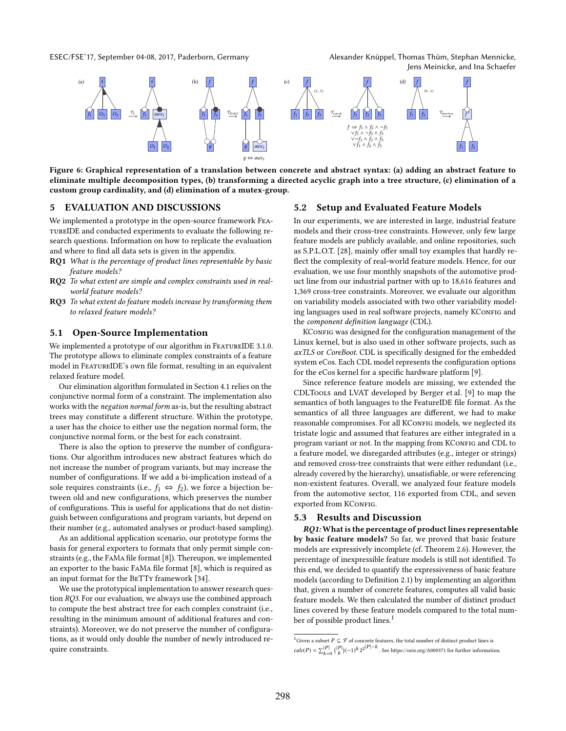<span id="page-7-0"></span>ESEC/FSE'17, September 04-08, 2017, Paderborn, Germany Alexander Knüppel, Thomas Thüm, Stephan Mennicke,

Jens Meinicke, and Ina Schaefer



Figure 6: Graphical representation of a translation between concrete and abstract syntax: (a) adding an abstract feature to eliminate multiple decomposition types, (b) transforming a directed acyclic graph into a tree structure, (c) elimination of a custom group cardinality, and (d) elimination of a mutex-group.

### <span id="page-7-3"></span>5 EVALUATION AND DISCUSSIONS

We implemented a prototype in the open-source framework FeatureIDE and conducted experiments to evaluate the following research questions. Information on how to replicate the evaluation and where to find all data sets is given in the appendix.

- RQ1 What is the percentage of product lines representable by basic feature models?
- RQ2 To what extent are simple and complex constraints used in realworld feature models?
- RQ3 To what extent do feature models increase by transforming them to relaxed feature models?

## 5.1 Open-Source Implementation

We implemented a prototype of our algorithm in FEATUREIDE 3.1.0. The prototype allows to eliminate complex constraints of a feature model in FeatureIDE's own ile format, resulting in an equivalent relaxed feature model.

Our elimination algorithm formulated in Section [4.1](#page-4-1) relies on the conjunctive normal form of a constraint. The implementation also works with the negation normal form as-is, but the resulting abstract trees may constitute a diferent structure. Within the prototype, a user has the choice to either use the negation normal form, the conjunctive normal form, or the best for each constraint.

There is also the option to preserve the number of configurations. Our algorithm introduces new abstract features which do not increase the number of program variants, but may increase the number of configurations. If we add a bi-implication instead of a sole requires constraints (i.e.,  $f_1 \Leftrightarrow f_2$ ), we force a bijection between old and new configurations, which preserves the number of configurations. This is useful for applications that do not distinguish between configurations and program variants, but depend on their number (e.g., automated analyses or product-based sampling).

As an additional application scenario, our prototype forms the basis for general exporters to formats that only permit simple con-straints (e.g., the FAMA file format [\[8\]](#page-11-14)). Thereupon, we implemented an exporter to the basic FAMA file format [\[8\]](#page-11-14), which is required as an input format for the BeTTy framework [\[34\]](#page-11-23).

We use the prototypical implementation to answer research question RQ3. For our evaluation, we always use the combined approach to compute the best abstract tree for each complex constraint (i.e., resulting in the minimum amount of additional features and constraints). Moreover, we do not preserve the number of configurations, as it would only double the number of newly introduced require constraints.

### 5.2 Setup and Evaluated Feature Models

In our experiments, we are interested in large, industrial feature models and their cross-tree constraints. However, only few large feature models are publicly available, and online repositories, such as S.P.L.O.T. [\[28\]](#page-11-16), mainly offer small toy examples that hardly reflect the complexity of real-world feature models. Hence, for our evaluation, we use four monthly snapshots of the automotive product line from our industrial partner with up to 18,616 features and 1,369 cross-tree constraints. Moreover, we evaluate our algorithm on variability models associated with two other variability modeling languages used in real software projects, namely KConFIG and the component definition language (CDL).

KConFIG was designed for the configuration management of the Linux kernel, but is also used in other software projects, such as axTLS or CoreBoot. CDL is specifically designed for the embedded system eCos. Each CDL model represents the configuration options for the eCos kernel for a specific hardware platform [\[9\]](#page-11-36).

Since reference feature models are missing, we extended the CDLTools and LVAT developed by Berger et al. [\[9\]](#page-11-36) to map the semantics of both languages to the FeatureIDE file format. As the semantics of all three languages are diferent, we had to make reasonable compromises. For all KConFIG models, we neglected its tristate logic and assumed that features are either integrated in a program variant or not. In the mapping from KConFIG and CDL to a feature model, we disregarded attributes (e.g., integer or strings) and removed cross-tree constraints that were either redundant (i.e., already covered by the hierarchy), unsatisiable, or were referencing non-existent features. Overall, we analyzed four feature models from the automotive sector, 116 exported from CDL, and seven exported from KConFIG.

#### <span id="page-7-2"></span>5.3 Results and Discussion

RQ1: What is the percentage of product lines representable by basic feature models? So far, we proved that basic feature models are expressively incomplete (cf. Theorem [2.6\)](#page-3-1). However, the percentage of inexpressible feature models is still not identified. To this end, we decided to quantify the expressiveness of basic feature models (according to Definition [2.1\)](#page-2-5) by implementing an algorithm that, given a number of concrete features, computes all valid basic feature models. We then calculated the number of distinct product lines covered by these feature models compared to the total num-ber of possible product lines.<sup>[1](#page-7-1)</sup>

<span id="page-7-1"></span> $^1$  Given a subset  $P \subseteq \mathcal{F}$  of concrete features, the total number of distinct product lines is  $calc(P) = \sum_{k=0}^{|P|} { |P| \choose k} (-1)^k 2^{2^{|P|-k}}$ . See<https://oeis.org/A000371> for further information.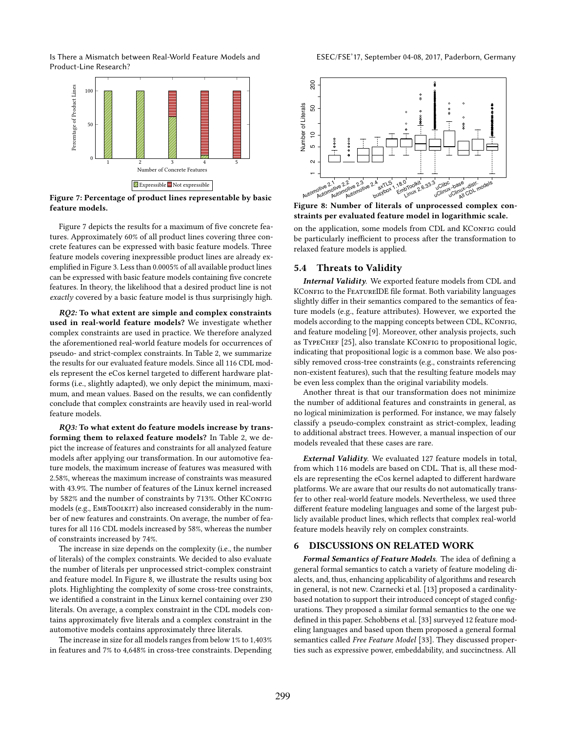<span id="page-8-0"></span>

Figure 7: Percentage of product lines representable by basic feature models.

Figure [7](#page-8-0) depicts the results for a maximum of five concrete features. Approximately 60% of all product lines covering three concrete features can be expressed with basic feature models. Three feature models covering inexpressible product lines are already ex-emplified in Figure [3.](#page-3-0) Less than 0.0005% of all available product lines can be expressed with basic feature models containing five concrete features. In theory, the likelihood that a desired product line is not exactly covered by a basic feature model is thus surprisingly high.

RQ2: To what extent are simple and complex constraints used in real-world feature models? We investigate whether complex constraints are used in practice. We therefore analyzed the aforementioned real-world feature models for occurrences of pseudo- and strict-complex constraints. In Table [2,](#page-9-0) we summarize the results for our evaluated feature models. Since all 116 CDL models represent the eCos kernel targeted to diferent hardware platforms (i.e., slightly adapted), we only depict the minimum, maximum, and mean values. Based on the results, we can confidently conclude that complex constraints are heavily used in real-world feature models.

RQ3: To what extent do feature models increase by transforming them to relaxed feature models? In Table [2,](#page-9-0) we depict the increase of features and constraints for all analyzed feature models after applying our transformation. In our automotive feature models, the maximum increase of features was measured with 2.58%, whereas the maximum increase of constraints was measured with 43.9%. The number of features of the Linux kernel increased by 582% and the number of constraints by 713%. Other KConFIG models (e.g., EMBTOOLKIT) also increased considerably in the number of new features and constraints. On average, the number of features for all 116 CDL models increased by 58%, whereas the number of constraints increased by 74%.

The increase in size depends on the complexity (i.e., the number of literals) of the complex constraints. We decided to also evaluate the number of literals per unprocessed strict-complex constraint and feature model. In Figure [8,](#page-8-1) we illustrate the results using box plots. Highlighting the complexity of some cross-tree constraints, we identified a constraint in the Linux kernel containing over 230 literals. On average, a complex constraint in the CDL models contains approximately five literals and a complex constraint in the automotive models contains approximately three literals.

The increase in size for all models ranges from below 1% to 1,403% in features and 7% to 4,648% in cross-tree constraints. Depending

<span id="page-8-1"></span>

Figure 8: Number of literals of unprocessed complex constraints per evaluated feature model in logarithmic scale.

on the application, some models from CDL and KConFIG could be particularly inefficient to process after the transformation to relaxed feature models is applied.

#### 5.4 Threats to Validity

Internal Validity. We exported feature models from CDL and KCONFIG to the FEATUREIDE file format. Both variability languages slightly difer in their semantics compared to the semantics of feature models (e.g., feature attributes). However, we exported the models according to the mapping concepts between CDL, KConFIG, and feature modeling [\[9\]](#page-11-36). Moreover, other analysis projects, such as TYPECHEF [\[25\]](#page-11-40), also translate KConFIG to propositional logic, indicating that propositional logic is a common base. We also possibly removed cross-tree constraints (e.g., constraints referencing non-existent features), such that the resulting feature models may be even less complex than the original variability models.

Another threat is that our transformation does not minimize the number of additional features and constraints in general, as no logical minimization is performed. For instance, we may falsely classify a pseudo-complex constraint as strict-complex, leading to additional abstract trees. However, a manual inspection of our models revealed that these cases are rare.

External Validity. We evaluated 127 feature models in total, from which 116 models are based on CDL. That is, all these models are representing the eCos kernel adapted to diferent hardware platforms. We are aware that our results do not automatically transfer to other real-world feature models. Nevertheless, we used three diferent feature modeling languages and some of the largest publicly available product lines, which relects that complex real-world feature models heavily rely on complex constraints.

#### 6 DISCUSSIONS ON RELATED WORK

Formal Semantics of Feature Models. The idea of defining a general formal semantics to catch a variety of feature modeling dialects, and, thus, enhancing applicability of algorithms and research in general, is not new. Czarnecki et al. [\[13\]](#page-11-39) proposed a cardinalitybased notation to support their introduced concept of staged configurations. They proposed a similar formal semantics to the one we defined in this paper. Schobbens et al. [\[33\]](#page-11-21) surveyed 12 feature modeling languages and based upon them proposed a general formal semantics called Free Feature Model [\[33\]](#page-11-21). They discussed properties such as expressive power, embeddability, and succinctness. All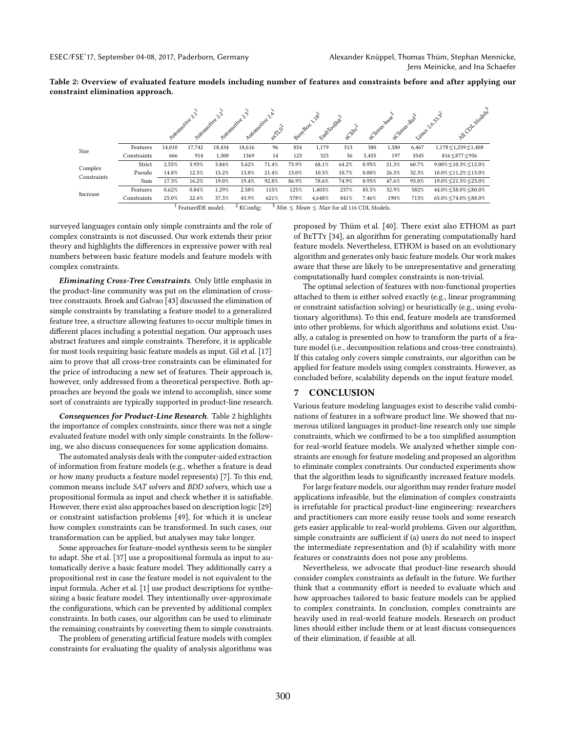<span id="page-9-0"></span>Table 2: Overview of evaluated feature models including number of features and constraints before and after applying our constraint elimination approach.

|                        |                                                                                             | Azitonotive 2.1 |        | Automobile 2.2<br>Automotive v | Automotive 2.4<br>ിപ് | at Zuch | Busylor <sup>11</sup> | $\sqrt{6}$<br>Entranceller | active2 | LClinty-Josee | <b>LCimux disc</b> | Limat 26.93.3 | Al Coll Malans                 |
|------------------------|---------------------------------------------------------------------------------------------|-----------------|--------|--------------------------------|-----------------------|---------|-----------------------|----------------------------|---------|---------------|--------------------|---------------|--------------------------------|
| Size                   | Features                                                                                    | 14,010          | 17.742 | 18.434                         | 18,616                | 96      | 854                   | 1,179                      | 313     | 380           | 1,580              | 6,467         | $1,178 \le 1,259 \le 1,408$    |
|                        | Constraints                                                                                 | 666             | 914    | 1.300                          | 1369                  | 14      | 123                   | 323                        | 56      | 3,455         | 197                | 3545          | 816 < 877 < 956                |
| Complex<br>Constraints | Strict                                                                                      | 2.55%           | 3.93%  | 3.84%                          | 5.62%                 | 71.4%   | 73.9%                 | 68.1%                      | 64.2%   | 0.95%         | 21.3%              | 60.7%         | $9.00\% \le 10.3\% \le 12.0\%$ |
|                        | Pseudo                                                                                      | 14.8%           | 12.3%  | 15.2%                          | 13.8%                 | 21.4%   | 13.0%                 | 10.5%                      | 10.7%   | 0.00%         | 26.3%              | 32.3%         | $10.0\% \le 11.2\% \le 13.0\%$ |
|                        | Sum                                                                                         | 17.3%           | 16.2%  | 19.0%                          | 19.4%                 | 92.8%   | 86.9%                 | 78.6%                      | 74.9%   | 0.95%         | 47.6%              | 93.0%         | $19.0\% \le 21.5\% \le 25.0\%$ |
| Increase               | Features                                                                                    | 0.62%           | 0.84%  | 1.29%                          | 2.58%                 | 115%    | 125%                  | 1.403%                     | 237%    | 85.5%         | 32.9%              | 582%          | 44.0% < 58.0% < 80.0%          |
|                        | Constraints                                                                                 | 25.0%           | 22.4%  | 37.3%                          | 43.9%                 | 621%    | 578%                  | 4.648%                     | 841%    | 7.46%         | 190%               | 713%          | $65.0\% \le 74.0\% \le 88.0\%$ |
|                        | $3$ Min $\leq$ Mean $\leq$ Max for all 116 CDL Models.<br>$2$ KConfig:<br>FeatureIDE model: |                 |        |                                |                       |         |                       |                            |         |               |                    |               |                                |

surveyed languages contain only simple constraints and the role of complex constraints is not discussed. Our work extends their prior theory and highlights the diferences in expressive power with real numbers between basic feature models and feature models with complex constraints.

Eliminating Cross-Tree Constraints. Only little emphasis in the product-line community was put on the elimination of crosstree constraints. Broek and Galvao [\[43\]](#page-11-41) discussed the elimination of simple constraints by translating a feature model to a generalized feature tree, a structure allowing features to occur multiple times in diferent places including a potential negation. Our approach uses abstract features and simple constraints. Therefore, it is applicable for most tools requiring basic feature models as input. Gil et al. [\[17\]](#page-11-20) aim to prove that all cross-tree constraints can be eliminated for the price of introducing a new set of features. Their approach is, however, only addressed from a theoretical perspective. Both approaches are beyond the goals we intend to accomplish, since some sort of constraints are typically supported in product-line research.

Consequences for Product-Line Research. Table [2](#page-9-0) highlights the importance of complex constraints, since there was not a single evaluated feature model with only simple constraints. In the following, we also discuss consequences for some application domains.

The automated analysis deals with the computer-aided extraction of information from feature models (e.g., whether a feature is dead or how many products a feature model represents) [\[7\]](#page-11-42). To this end, common means include SAT solvers and BDD solvers, which use a propositional formula as input and check whether it is satisfiable. However, there exist also approaches based on description logic [\[29\]](#page-11-43) or constraint satisfaction problems [\[49\]](#page-11-44), for which it is unclear how complex constraints can be transformed. In such cases, our transformation can be applied, but analyses may take longer.

Some approaches for feature-model synthesis seem to be simpler to adapt. She et al. [\[37\]](#page-11-22) use a propositional formula as input to automatically derive a basic feature model. They additionally carry a propositional rest in case the feature model is not equivalent to the input formula. Acher et al. [\[1\]](#page-10-4) use product descriptions for synthesizing a basic feature model. They intentionally over-approximate the configurations, which can be prevented by additional complex constraints. In both cases, our algorithm can be used to eliminate the remaining constraints by converting them to simple constraints.

The problem of generating artificial feature models with complex constraints for evaluating the quality of analysis algorithms was proposed by Thüm et al. [\[40\]](#page-11-38). There exist also ETHOM as part of BeTTy [\[34\]](#page-11-23), an algorithm for generating computationally hard feature models. Nevertheless, ETHOM is based on an evolutionary algorithm and generates only basic feature models. Our work makes aware that these are likely to be unrepresentative and generating computationally hard complex constraints is non-trivial.

The optimal selection of features with non-functional properties attached to them is either solved exactly (e.g., linear programming or constraint satisfaction solving) or heuristically (e.g., using evolutionary algorithms). To this end, feature models are transformed into other problems, for which algorithms and solutions exist. Usually, a catalog is presented on how to transform the parts of a feature model (i.e., decomposition relations and cross-tree constraints). If this catalog only covers simple constraints, our algorithm can be applied for feature models using complex constraints. However, as concluded before, scalability depends on the input feature model.

#### 7 CONCLUSION

Various feature modeling languages exist to describe valid combinations of features in a software product line. We showed that numerous utilized languages in product-line research only use simple constraints, which we confirmed to be a too simplified assumption for real-world feature models. We analyzed whether simple constraints are enough for feature modeling and proposed an algorithm to eliminate complex constraints. Our conducted experiments show that the algorithm leads to significantly increased feature models.

For large feature models, our algorithm may render feature model applications infeasible, but the elimination of complex constraints is irrefutable for practical product-line engineering: researchers and practitioners can more easily reuse tools and some research gets easier applicable to real-world problems. Given our algorithm, simple constraints are sufficient if (a) users do not need to inspect the intermediate representation and (b) if scalability with more features or constraints does not pose any problems.

Nevertheless, we advocate that product-line research should consider complex constraints as default in the future. We further think that a community effort is needed to evaluate which and how approaches tailored to basic feature models can be applied to complex constraints. In conclusion, complex constraints are heavily used in real-world feature models. Research on product lines should either include them or at least discuss consequences of their elimination, if feasible at all.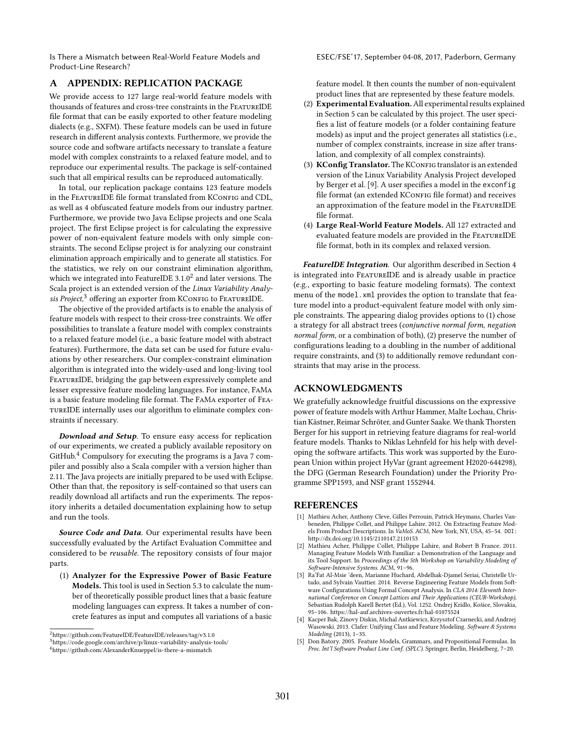ESEC/FSE'17, September 04-08, 2017, Paderborn, Germany

# A APPENDIX: REPLICATION PACKAGE

We provide access to 127 large real-world feature models with thousands of features and cross-tree constraints in the FeatureIDE file format that can be easily exported to other feature modeling dialects (e.g., SXFM). These feature models can be used in future research in diferent analysis contexts. Furthermore, we provide the source code and software artifacts necessary to translate a feature model with complex constraints to a relaxed feature model, and to reproduce our experimental results. The package is self-contained such that all empirical results can be reproduced automatically.

In total, our replication package contains 123 feature models in the FEATUREIDE file format translated from KCONFIG and CDL, as well as 4 obfuscated feature models from our industry partner. Furthermore, we provide two Java Eclipse projects and one Scala project. The first Eclipse project is for calculating the expressive power of non-equivalent feature models with only simple constraints. The second Eclipse project is for analyzing our constraint elimination approach empirically and to generate all statistics. For the statistics, we rely on our constraint elimination algorithm, which we integrated into FeatureIDE  $3.1.0^2$  $3.1.0^2$  and later versions. The Scala project is an extended version of the Linux Variability Analy-sis Project,<sup>[3](#page-10-6)</sup> offering an exporter from KConFIG to FEATUREIDE.

The objective of the provided artifacts is to enable the analysis of feature models with respect to their cross-tree constraints. We offer possibilities to translate a feature model with complex constraints to a relaxed feature model (i.e., a basic feature model with abstract features). Furthermore, the data set can be used for future evaluations by other researchers. Our complex-constraint elimination algorithm is integrated into the widely-used and long-living tool FEATUREIDE, bridging the gap between expressively complete and lesser expressive feature modeling languages. For instance, FaMa is a basic feature modeling file format. The FAMA exporter of FEAtureIDE internally uses our algorithm to eliminate complex constraints if necessary.

Download and Setup. To ensure easy access for replication of our experiments, we created a publicly available repository on GitHub.[4](#page-10-7) Compulsory for executing the programs is a Java 7 compiler and possibly also a Scala compiler with a version higher than 2.11. The Java projects are initially prepared to be used with Eclipse. Other than that, the repository is self-contained so that users can readily download all artifacts and run the experiments. The repository inherits a detailed documentation explaining how to setup and run the tools.

Source Code and Data. Our experimental results have been successfully evaluated by the Artifact Evaluation Committee and considered to be reusable. The repository consists of four major parts.

(1) Analyzer for the Expressive Power of Basic Feature Models. This tool is used in Section [5.3](#page-7-2) to calculate the number of theoretically possible product lines that a basic feature modeling languages can express. It takes a number of concrete features as input and computes all variations of a basic

feature model. It then counts the number of non-equivalent product lines that are represented by these feature models.

- (2) Experimental Evaluation.All experimental results explained in Section [5](#page-7-3) can be calculated by this project. The user specifies a list of feature models (or a folder containing feature models) as input and the project generates all statistics (i.e., number of complex constraints, increase in size after translation, and complexity of all complex constraints).
- (3) KConfig Translator. The KConFIG translator is an extended version of the Linux Variability Analysis Project developed by Berger et al. [\[9\]](#page-11-36). A user specifies a model in the exconfig file format (an extended KCONFIG file format) and receives an approximation of the feature model in the FeatureIDE file format.
- (4) Large Real-World Feature Models. All 127 extracted and evaluated feature models are provided in the FeatureIDE file format, both in its complex and relaxed version.

FeatureIDE Integration. Our algorithm described in Section [4](#page-4-2) is integrated into FeatureIDE and is already usable in practice (e.g., exporting to basic feature modeling formats). The context menu of the model.xml provides the option to translate that feature model into a product-equivalent feature model with only simple constraints. The appearing dialog provides options to (1) chose a strategy for all abstract trees (conjunctive normal form, negation normal form, or a combination of both), (2) preserve the number of configurations leading to a doubling in the number of additional require constraints, and (3) to additionally remove redundant constraints that may arise in the process.

## ACKNOWLEDGMENTS

We gratefully acknowledge fruitful discussions on the expressive power of feature models with Arthur Hammer, Malte Lochau, Christian Kästner, Reimar Schröter, and Gunter Saake. We thank Thorsten Berger for his support in retrieving feature diagrams for real-world feature models. Thanks to Niklas Lehnfeld for his help with developing the software artifacts. This work was supported by the European Union within project HyVar (grant agreement H2020-644298), the DFG (German Research Foundation) under the Priority Programme SPP1593, and NSF grant 1552944.

#### REFERENCES

- <span id="page-10-4"></span>[1] Mathieu Acher, Anthony Cleve, Gilles Perrouin, Patrick Heymans, Charles Vanbeneden, Philippe Collet, and Philippe Lahire. 2012. On Extracting Feature Models From Product Descriptions. In VaMoS. ACM, New York, NY, USA, 45-54. DOI: <http://dx.doi.org/10.1145/2110147.2110153>
- <span id="page-10-0"></span>[2] Mathieu Acher, Philippe Collet, Philippe Lahire, and Robert B France. 2011. Managing Feature Models With Familiar: a Demonstration of the Language and its Tool Support. In Proceedings of the 5th Workshop on Variability Modeling of Software-Intensive Systems. ACM, 91-96.
- <span id="page-10-3"></span>[3] Ra'Fat Al-Msie 'deen, Marianne Huchard, Abdelhak-Djamel Seriai, Christelle Urtado, and Sylvain Vauttier. 2014. Reverse Engineering Feature Models from Software Configurations Using Formal Concept Analysis. In CLA 2014: Eleventh International Conference on Concept Lattices and Their Applications (CEUR-Workshop), Sebastian Rudolph Karell Bertet (Ed.), Vol. 1252. Ondrej Krídlo, Košice, Slovakia, 95-106.<https://hal-auf.archives-ouvertes.fr/hal-01075524>
- <span id="page-10-1"></span>[4] Kacper Bak, Zinovy Diskin, Michal Antkiewicz, Krzysztof Czarnecki, and Andrzej Wasowski. 2013. Clafer: Unifying Class and Feature Modeling. Software & Systems Modeling (2013), 1-35.
- <span id="page-10-2"></span>[5] Don Batory. 2005. Feature Models, Grammars, and Propositional Formulas. In Proc. Int'l Software Product Line Conf. (SPLC). Springer, Berlin, Heidelberg, 7-20.

<span id="page-10-5"></span> $^{2}$ <https://github.com/FeatureIDE/FeatureIDE/releases/tag/v3.1.0>

<span id="page-10-6"></span><sup>3</sup><https://code.google.com/archive/p/linux-variability-analysis-tools/>

<span id="page-10-7"></span><sup>4</sup><https://github.com/AlexanderKnueppel/is-there-a-mismatch>